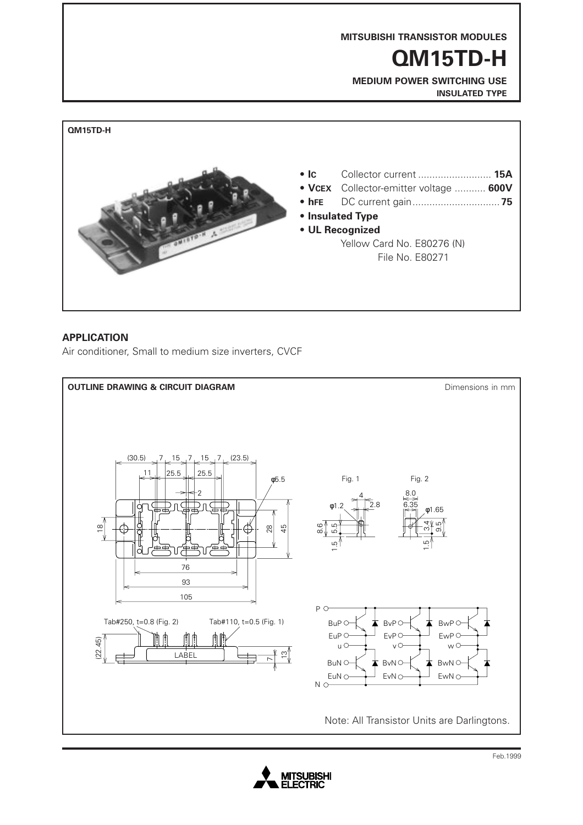

### **APPLICATION**

Air conditioner, Small to medium size inverters, CVCF



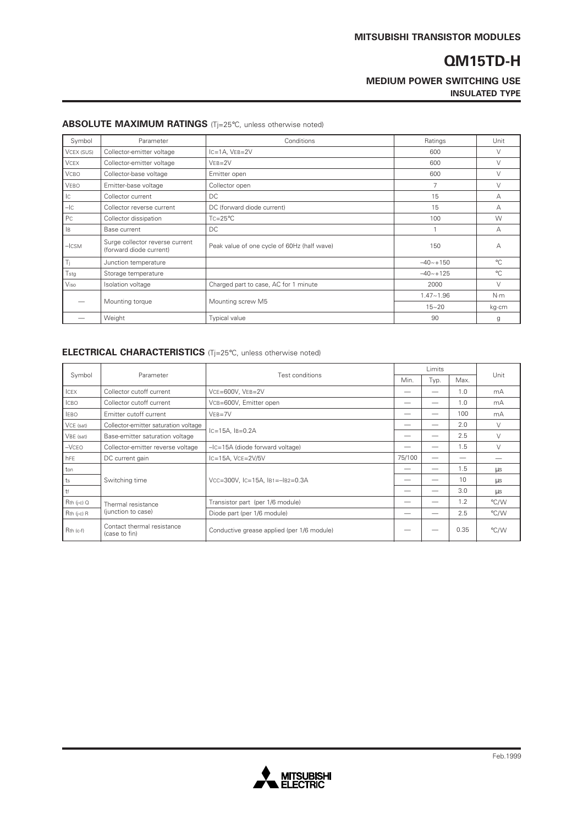### **MEDIUM POWER SWITCHING USE INSULATED TYPE**

| Symbol           | Parameter                                                  | Conditions                                  | Ratings        | Unit        |
|------------------|------------------------------------------------------------|---------------------------------------------|----------------|-------------|
| VCEX (SUS)       | Collector-emitter voltage                                  | $IC = 1A$ , $VEB = 2V$                      | 600            | $\vee$      |
| <b>VCEX</b>      | Collector-emitter voltage                                  | $VEB = 2V$                                  | 600            | V           |
| <b>VCBO</b>      | Collector-base voltage                                     | Emitter open                                | 600            | $\vee$      |
| VEBO             | Emitter-base voltage                                       | Collector open                              | $\overline{7}$ | $\vee$      |
| Iс               | Collector current                                          | DC                                          | 15             | А           |
| $-IC$            | Collector reverse current                                  | DC (forward diode current)                  | 15             | А           |
| Pc               | Collector dissipation                                      | $Tc = 25^{\circ}C$                          | 100            | W           |
| , IB             | Base current                                               | DC.                                         |                | А           |
| $ \textsf{CCSM}$ | Surge collector reverse current<br>(forward diode current) | Peak value of one cycle of 60Hz (half wave) | 150            | А           |
| Ti               | Junction temperature                                       |                                             | $-40 - +150$   | $^{\circ}C$ |
| Tstg             | Storage temperature                                        |                                             | $-40 - +125$   | $^{\circ}C$ |
| Viso             | Isolation voltage                                          | Charged part to case, AC for 1 minute       | 2000           | $\vee$      |
|                  | Mounting torque                                            |                                             | $1.47 - 1.96$  | N·m         |
|                  |                                                            | Mounting screw M5                           | $15 - 20$      | kg cm       |
|                  | Weight                                                     | <b>Typical value</b>                        | 90             | g           |

#### **ABSOLUTE MAXIMUM RATINGS** (Tj=25°C, unless otherwise noted)

#### **ELECTRICAL CHARACTERISTICS** (Tj=25°C, unless otherwise noted)

| Symbol          | Parameter                                                               | Test conditions                            | Limits |      |      |        |
|-----------------|-------------------------------------------------------------------------|--------------------------------------------|--------|------|------|--------|
|                 |                                                                         |                                            | Min.   | Typ. | Max. | Unit   |
| <b>ICEX</b>     | Collector cutoff current                                                | VCE=600V, VEB=2V                           |        |      | 1.0  | mA     |
| <b>ICBO</b>     | Collector cutoff current                                                | VCB=600V, Emitter open                     |        |      | 1.0  | mA     |
| <b>IEBO</b>     | Emitter cutoff current                                                  | $VEB = 7V$                                 |        |      | 100  | mA     |
| VCE (sat)       | Collector-emitter saturation voltage<br>Base-emitter saturation voltage | $IC=15A$ , $IB=0.2A$                       |        |      | 2.0  | $\vee$ |
| VBE (sat)       |                                                                         |                                            |        |      | 2.5  | $\vee$ |
| $-VCEO$         | Collector-emitter reverse voltage                                       | $-IC = 15A$ (diode forward voltage)        |        |      | 1.5  | $\vee$ |
| hFE             | DC current gain                                                         | $lc = 15A$ , $Vce = 2V/5V$                 | 75/100 |      |      |        |
| ton             | Switching time                                                          | VCC=300V, IC=15A, IB1=-IB2=0.3A            |        |      | 1.5  | μs     |
| ts              |                                                                         |                                            |        |      | 10   | μs     |
| l tf            |                                                                         |                                            |        |      | 3.0  | μs     |
| $Rth$ (j-c) $Q$ | Thermal resistance<br>(junction to case)                                | Transistor part (per 1/6 module)           |        |      | 1.2  | °C/W   |
| $Rth$ (j-c) $R$ |                                                                         | Diode part (per 1/6 module)                |        |      | 2.5  | °C/W   |
| $Rth$ (c-f)     | Contact thermal resistance<br>(case to fin)                             | Conductive grease applied (per 1/6 module) |        |      | 0.35 | °C/W   |

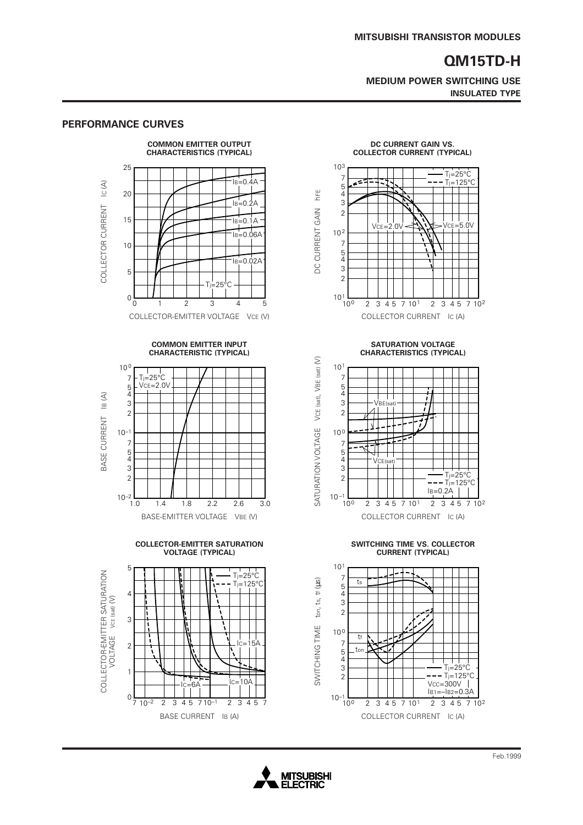**MEDIUM POWER SWITCHING USE INSULATED TYPE**

> $T_j = 25^{\circ}C$  $-T$ j=125 $\overline{C}$ C

> > ┓

 $\top$ 

#### **PERFORMANCE CURVES COMMON EMITTER OUTPUT DC CURRENT GAIN VS. CHARACTERISTICS (TYPICAL) COLLECTOR CURRENT (TYPICAL)** 25 103 7  $I<sub>B</sub>=0.4A$ IC $(A)$ - 2 COLLECTOR CURRENT IC (A) 5  $20$ hFE DC CURRENT GAIN hFE 4  $I_B=0.2A$ 3 COLLECTOR CURRENT DC CURRENT GAIN 2 15  $I<sub>B</sub>=0.1A$ 10 2  $\overline{B}$ =0.06A 7 10 5 4  $I_B=0.02A$ 3 5 2 -25°<sup>c</sup>  $10^{1}$ <sub>100</sub>  $0\frac{L}{0}$ 2 3 4 5 7 10<sup>1</sup> 2 3 4 5 7 10<sup>2</sup> 01 2345 COLLECTOR-EMITTER VOLTAGE VCE (V) COLLECTOR CURRENT IC (A) **COMMON EMITTER INPUT CHARACTERISTIC (TYPICAL)** VCE (sat), VBE (sat) (V) SATURATION VOLTAGE VCE (sat), VBE (sat) (V) 10 0 101  $Ti=25^{\circ}C$ 7 7  $VCE=2.0V$ 5 4 5 4  $|B(A)|$ BASE CURRENT IB (A) 3 3 2 2 BASE CURRENT SATURATION VOLTAGE  $10^{-1}$ 10 0 7 7 5 5 4  $\check{4}$ 3 3 2 2  $10^{-2}$  – 1.0  $10^{-1}$   $\frac{1}{10^0}$ 1.0 1.4 1.8 2.2 2.6 3.0 BASE-EMITTER VOLTAGE VBE (V) COLLECTOR CURRENT IC (A) **COLLECTOR-EMITTER SATURATION VOLTAGE (TYPICAL)** 101 5 COLLECTOR-EMITTER SATURATION<br>VOLTAGE VCE (sat) (V)  $T = 25^{\circ}C$ COLLECTOR-EMITTER SATURATION 7  $T = 125^{\circ}C$ ts ton, ts, tf (µs) SWITCHING TIME  $\,$  ton, ts, tf ( $\,$ us) 5 4 4 VOLTAGE vce (sat) (V) 3 2 3 SWITCHING TIME 10 0 ┑ tf 7 IC=15A 2 tor 5 4 3 1 2  $IC=6A$   $|C=10A$  $10^{-1}$  $0\frac{1}{7}$  $2$  3 4 5 7 10  $^{-1}$  2 3 4 5



 $VCE=2.0V$   $\rightarrow$   $VSE=5.0V$ 

 $\perp$ 



**SWITCHING TIME VS. COLLECTOR CURRENT (TYPICAL)**



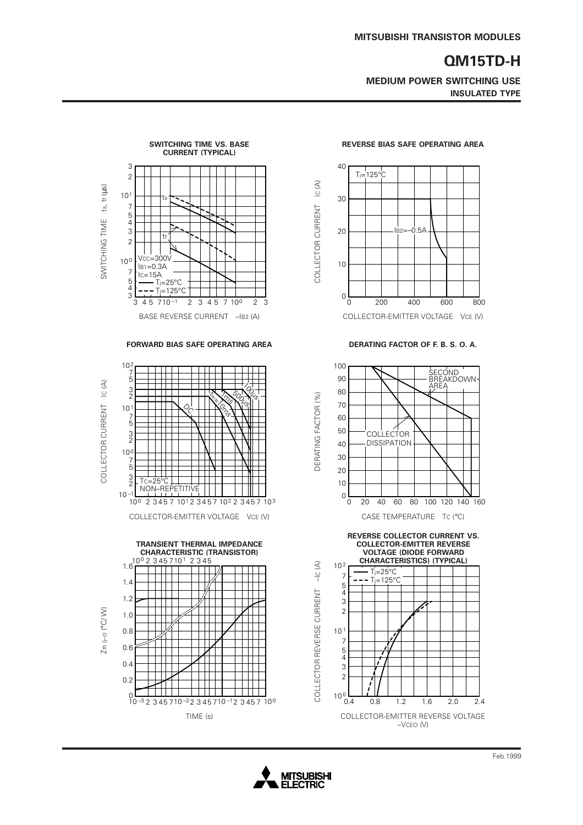**MEDIUM POWER SWITCHING USE INSULATED TYPE**



**FORWARD BIAS SAFE OPERATING AREA DERATING FACTOR OF F. B. S. O. A.**









**REVERSE COLLECTOR CURRENT VS. COLLECTOR-EMITTER REVERSE**



**REVERSE BIAS SAFE OPERATING AREA**